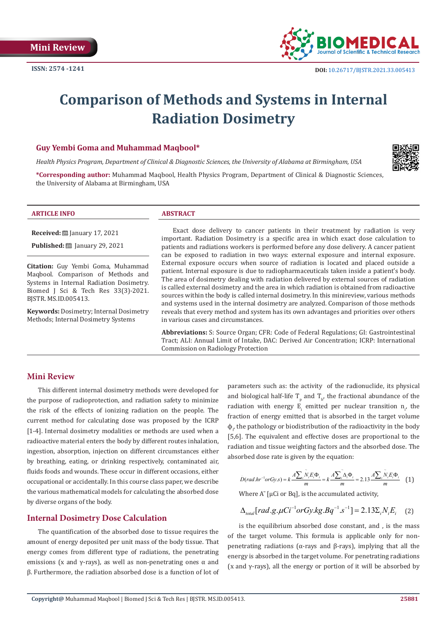

# **Comparison of Methods and Systems in Internal Radiation Dosimetry**

# **Guy Yembi Goma and Muhammad Maqbool\***

*Health Physics Program, Department of Clinical & Diagnostic Sciences, the University of Alabama at Birmingham, USA*

**\*Corresponding author:** Muhammad Maqbool, Health Physics Program, Department of Clinical & Diagnostic Sciences, the University of Alabama at Birmingham, USA



#### **ARTICLE INFO ABSTRACT**

**Received:** January 17, 2021

**Published:** [201] January 29, 2021

**Citation:** Guy Yembi Goma, Muhammad Maqbool. Comparison of Methods and Systems in Internal Radiation Dosimetry. Biomed J Sci & Tech Res 33(3)-2021. BJSTR. MS.ID.005413.

**Keywords:** Dosimetry; Internal Dosimetry Methods; Internal Dosimetry Systems

Exact dose delivery to cancer patients in their treatment by radiation is very important. Radiation Dosimetry is a specific area in which exact dose calculation to patients and radiations workers is performed before any dose delivery. A cancer patient can be exposed to radiation in two ways: external exposure and internal exposure. External exposure occurs when source of radiation is located and placed outside a patient. Internal exposure is due to radiopharmaceuticals taken inside a patient's body. The area of dosimetry dealing with radiation delivered by external sources of radiation is called external dosimetry and the area in which radiation is obtained from radioactive sources within the body is called internal dosimetry. In this minireview, various methods and systems used in the internal dosimetry are analyzed. Comparison of those methods reveals that every method and system has its own advantages and priorities over others in various cases and circumstances.

**Abbreviations:** S: Source Organ; CFR: Code of Federal Regulations; GI: Gastrointestinal Tract; ALI: Annual Limit of Intake, DAC: Derived Air Concentration; ICRP: International Commission on Radiology Protection

# **Mini Review**

This different internal dosimetry methods were developed for the purpose of radioprotection, and radiation safety to minimize the risk of the effects of ionizing radiation on the people. The current method for calculating dose was proposed by the ICRP [1-4]. Internal dosimetry modalities or methods are used when a radioactive material enters the body by different routes inhalation, ingestion, absorption, injection on different circumstances either by breathing, eating, or drinking respectively, contaminated air, fluids foods and wounds. These occur in different occasions, either occupational or accidentally. In this course class paper, we describe the various mathematical models for calculating the absorbed dose by diverse organs of the body.

# **Internal Dosimetry Dose Calculation**

The quantification of the absorbed dose to tissue requires the amount of energy deposited per unit mass of the body tissue. That energy comes from different type of radiations, the penetrating emissions (x and  $\gamma$ -rays), as well as non-penetrating ones  $\alpha$  and β. Furthermore, the radiation absorbed dose is a function of lot of parameters such as: the activity of the radionuclide, its physical and biological half-life  $T_{p}$  and  $T_{b'}$  the fractional abundance of the radiation with energy  $E_i$  emitted per nuclear transition  $n_{i'}$  the fraction of energy emitted that is absorbed in the target volume  $\Phi_{i'}$  the pathology or biodistribution of the radioactivity in the body [5,6]. The equivalent and effective doses are proportional to the radiation and tissue weighting factors and the absorbed dose. The absorbed dose rate is given by the equation:

$$
D(rad.\hbar r^{-1}orGy.s) = k \frac{A \sum_{i} \widetilde{N}_{i}E_{i} \Phi_{i}}{m} = k \frac{A \sum_{i} \widetilde{\Delta}_{i} \Phi_{i}}{m} = 2.13 \frac{A \sum_{i} \widetilde{N}_{i}E_{i} \Phi_{i}}{m} \quad (1)
$$

Where  $A^{\sim}$  [µCi or Bq], is the accumulated activity,

$$
\Delta_{total}[rad.g.\mu Ci^{-1}orGy.kg.Bq^{-1}.s^{-1}]=2.13\Sigma_iN_iE_i
$$
 (2)

is the equilibrium absorbed dose constant, and , is the mass of the target volume. This formula is applicable only for nonpenetrating radiations (α-rays and β-rays), implying that all the energy is absorbed in the target volume. For penetrating radiations (x and  $\gamma$ -rays), all the energy or portion of it will be absorbed by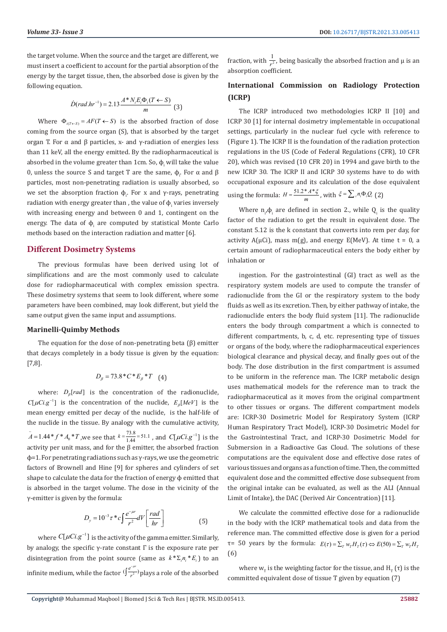the target volume. When the source and the target are different, we must insert a coefficient to account for the partial absorption of the energy by the target tissue, then, the absorbed dose is given by the following equation.

$$
\dot{D}(rad.hr^{-1}) = 2.13 \frac{A*N_iE_i\Phi_i(T \leftarrow S)}{m} \tag{3}
$$

Where  $\Phi_{i(T \leftarrow S)} = AF(T \leftarrow S)$  is the absorbed fraction of dose coming from the source organ (S), that is absorbed by the target organ T. For  $\alpha$  and  $\beta$  particles, x- and γ-radiation of energies less than 11 keV, all the energy emitted. By the radiopharmaceutical is absorbed in the volume greater than  $1$ cm. So,  $\Phi_{\text{i}}$  will take the value 0, unless the source S and target T are the same,  $\phi_i$ . For α and β particles, most non-penetrating radiation is usually absorbed, so we set the absorption fraction  $\Phi_{i}$ . For x and γ-rays, penetrating radiation with energy greater than , the value of  $\boldsymbol{\varphi}_{\text{i}}$  varies inversely with increasing energy and between 0 and 1, contingent on the energy. The data of  $\phi_i$  are computed by statistical Monte Carlo methods based on the interaction radiation and matter [6].

# **Different Dosimetry Systems**

The previous formulas have been derived using lot of simplifications and are the most commonly used to calculate dose for radiopharmaceutical with complex emission spectra. These dosimetry systems that seem to look different, where some parameters have been combined, may look different, but yield the same output given the same input and assumptions.

#### **Marinelli-Quimby Methods**

The equation for the dose of non-penetrating beta  $(\beta)$  emitter that decays completely in a body tissue is given by the equation: [7,8].

$$
D_{\beta} = 73.8 \,^{\ast}C \,^{\ast}E_{\beta} \,^{\ast}T \quad (4)
$$

where:  $D_{\beta}[rad]$  is the concentration of the radionuclide,  $C[\mu Ci.g^{-1}]$  is the concentration of the nuclide,  $E_{\beta}[MeV]$  is the mean energy emitted per decay of the nuclide, is the half-life of the nuclide in the tissue. By analogy with the cumulative activity,  $\bf{0}$  $\tilde{A} = 1.44 * f * A_0 * T$ , we see that  $k = \frac{73.8}{1.44} = 51.1$ , and  $C[\mu Ci.g^{-1}]$  is the activity per unit mass, and for the  $\beta$  emitter, the absorbed fraction ϕ=1. For penetrating radiations such as γ-rays, we use the geometric factors of Brownell and Hine [9] for spheres and cylinders of set shape to calculate the data for the fraction of energy φ emitted that is absorbed in the target volume. The dose in the vicinity of the γ-emitter is given by the formula:

$$
D_y = 10^{-3} \tau \cdot c \int \frac{e^{-\mu r}}{r^2} dV \left[ \frac{rad}{hr} \right] \tag{5}
$$

where  $C[\mu Ci.g^{-1}]$  is the activity of the gamma emitter. Similarly, by analogy, the specific γ-rate constant Γ is the exposure rate per disintegration from the point source (same as  $k^* \Sigma_i n_i^* E_i$ ) to an infinite medium, while the factor  $(\int \frac{e^{-\mu r}}{r^2})$ *r*  $\int_{-r^2}^{\frac{e^{-\mu r}}{r^2}}$ plays a role of the absorbed fraction, with  $\frac{1}{r^2}$ , being basically the absorbed fraction and μ is an absorption coefficient.

# **International Commission on Radiology Protection (ICRP)**

The ICRP introduced two methodologies ICRP II [10] and ICRP 30 [1] for internal dosimetry implementable in occupational settings, particularly in the nuclear fuel cycle with reference to (Figure 1). The ICRP II is the foundation of the radiation protection regulations in the US (Code of Federal Regulations (CFR), 10 CFR 20), which was revised (10 CFR 20) in 1994 and gave birth to the new ICRP 30. The ICRP II and ICRP 30 systems have to do with occupational exposure and its calculation of the dose equivalent using the formula:  $H = \frac{51.2 * A * \xi}{m}$ , with  $\xi = \sum_i n_i \Phi_i Q_i$  (2)

Where  $n_{i} \Phi_{i}$  are defined in section 2., while  $Q_{i}$  is the quality factor of the radiation to get the result in equivalent dose. The constant 5.12 is the k constant that converts into rem per day, for activity  $A(\mu Ci)$ , mass m(g), and energy  $E(MeV)$ . At time t = 0, a certain amount of radiopharmaceutical enters the body either by inhalation or

ingestion. For the gastrointestinal (GI) tract as well as the respiratory system models are used to compute the transfer of radionuclide from the GI or the respiratory system to the body fluids as well as its excretion. Then, by either pathway of intake, the radionuclide enters the body fluid system [11]. The radionuclide enters the body through compartment a which is connected to different compartments, b, c, d, etc. representing type of tissues or organs of the body, where the radiopharmaceutical experiences biological clearance and physical decay, and finally goes out of the body. The dose distribution in the first compartment is assumed to be uniform in the reference man. The ICRP metabolic design uses mathematical models for the reference man to track the radiopharmaceutical as it moves from the original compartment to other tissues or organs. The different compartment models are: ICRP-30 Dosimetric Model for Respiratory System (ICRP Human Respiratory Tract Model), ICRP-30 Dosimetric Model for the Gastrointestinal Tract, and ICRP-30 Dosimetric Model for Submersion in a Radioactive Gas Cloud. The solutions of these computations are the equivalent dose and effective dose rates of various tissues and organs as a function of time. Then, the committed equivalent dose and the committed effective dose subsequent from the original intake can be evaluated, as well as the ALI (Annual Limit of Intake), the DAC (Derived Air Concentration) [11].

We calculate the committed effective dose for a radionuclide in the body with the ICRP mathematical tools and data from the reference man. The committed effective dose is given for a period  $τ= 50$  years by the formula:  $E(τ) = Σ<sub>T</sub> w<sub>T</sub>H<sub>T</sub>(τ)$   $\Leftrightarrow E(50) = Σ<sub>T</sub> w<sub>T</sub>H<sub>T</sub>$ (6)

where  $w_{\tau}$  is the weighting factor for the tissue, and  $H_{\tau}(\tau)$  is the committed equivalent dose of tissue T given by equation (7)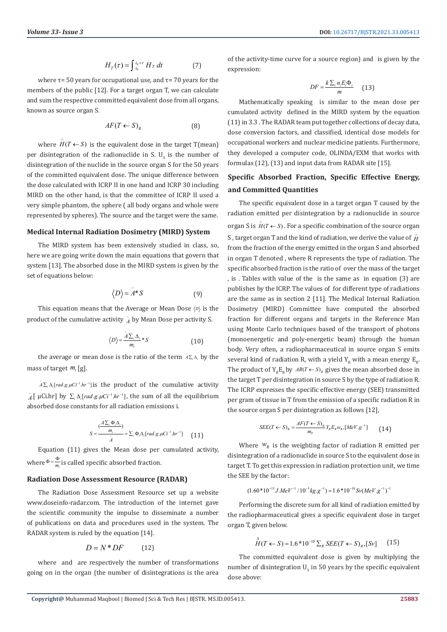$$
H_T(\tau) = \int_{t_0}^{t_0 + \tau} H_T dt \tag{7}
$$

where  $\tau$ = 50 years for occupational use, and  $\tau$ = 70 years for the members of the public [12]. For a target organ T, we can calculate and sum the respective committed equivalent dose from all organs, known as source organ S.

$$
AF(T \leftarrow S)_R \tag{8}
$$

where  $\hat{H}(T \leftarrow S)$  is the equivalent dose in the target T(mean) per disintegration of the radionuclide in S.  $U_{\rm s}$  is the number of disintegration of the nuclide in the source organ S for the 50 years of the committed equivalent dose. The unique difference between the dose calculated with ICRP II in one hand and ICRP 30 including MIRD on the other hand, is that the committee of ICRP II used a very simple phantom, the sphere ( all body organs and whole were represented by spheres). The source and the target were the same.

#### **Medical Internal Radiation Dosimetry (MIRD) System**

The MIRD system has been extensively studied in class, so, here we are going write down the main equations that govern that system [13]. The absorbed dose in the MIRD system is given by the set of equations below:

$$
\langle D \rangle = \tilde{A}^* S \tag{9}
$$

This equation means that the Average or Mean Dose  $\langle D \rangle$  is the product of the cumulative activity  $\tilde{A}$  by Mean Dose per activity S.

$$
\langle D \rangle = \frac{\tilde{A} \sum_{i} \Delta_{i}}{m_{i}} * S \tag{10}
$$

the average or mean dose is the ratio of the term  $\tilde{A} \Sigma_i \Delta_i$  by the mass of target  $m_t$  [g].

 $ilde{A}\Sigma_i \Delta_i$ [rad.g.µCi<sup>-1</sup>.hr<sup>-1</sup>] is the product of the cumulative activity  $\tilde{A}$ [  $\mu$ Ci.hr] by  $\Sigma_i \Delta_i$ [*rad.g.* $\mu$ Ci<sup>-1</sup>*hr*<sup>-1</sup>], the sum of all the equilibrium absorbed dose constants for all radiation emissions i.

$$
S = \frac{\widetilde{(\frac{A\sum_{i}\Phi_{i}\Delta_{i}}{m_{i}})}}{\widetilde{A}} = \sum_{i}\Phi_{i}\Delta_{i}[rad.g.\mu Ci^{-1}.hr^{-1}] \qquad (11)
$$

Equation (11) gives the Mean dose per cumulated activity, where  $\Phi = \frac{\Phi}{m_i}$  is called specific absorbed fraction.

### **Radiation Dose Assessment Resource (RADAR)**

The Radiation Dose Assessment Resource set up a website www.doseinfo-radar.com. The introduction of the internet gave the scientific community the impulse to disseminate a number of publications on data and procedures used in the system. The RADAR system is ruled by the equation [14].

$$
D = N^* DF \tag{12}
$$

where and are respectively the number of transformations going on in the organ (the number of disintegrations is the area of the activity-time curve for a source region) and is given by the expression:

$$
DF = \frac{k \sum_{i} n_{i} E_{i} \Phi_{i}}{m} \qquad (13)
$$

Mathematically speaking is similar to the mean dose per cumulated activity defined in the MIRD system by the equation (11) in 3.3 . The RADAR team put together collections of decay data, dose conversion factors, and classified, identical dose models for occupational workers and nuclear medicine patients. Furthermore, they developed a computer code, OLINDA/EXM that works with formulas (12), (13) and input data from RADAR site [15].

# **Specific Absorbed Fraction, Specific Effective Energy, and Committed Quantities**

The specific equivalent dose in a target organ T caused by the radiation emitted per disintegration by a radionuclide in source organ S is  $\hat{H}(T \leftarrow S)$ . For a specific combination of the source organ S , target organ T and the kind of radiation, we derive the value of  $\hat{H}$ from the fraction of the energy emitted in the organ S and absorbed in organ T denoted , where R represents the type of radiation. The specific absorbed fraction is the ratio of over the mass of the target , is . Tables with value of the is the same as in equation (3) are publishes by the ICRP. The values of for different type of radiations are the same as in section 2 [11]. The Medical Internal Radiation Dosimetry (MIRD) Committee have computed the absorbed fraction for different organs and targets in the Reference Man using Monte Carlo techniques based of the transport of photons (monoenergetic and poly-energetic beam) through the human body. Very often, a radiopharmaceutical in source organ S emits several kind of radiation R, with a yield  $Y_p$  with a mean energy  $E_p$ . The product of  $Y_{R}E_{R}$  by  $AR(T \leftarrow S)_{R}$  gives the mean absorbed dose in the target T per disintegration in source S by the type of radiation R. The ICRP expresses the specific effective energy (SEE) transmitted per gram of tissue in T from the emission of a specific radiation R in the source organ S per disintegration as follows [12],

$$
SEE(T \leftarrow S)_R = \frac{AF(T \leftarrow S)_R}{m_T} Y_R E_R w_R, [MeV \cdot g^{-1}] \tag{14}
$$

Where  $W_R$  is the weighting factor of radiation R emitted per disintegration of a radionuclide in source S to the equivalent dose in target T. To get this expression in radiation protection unit, we time the SEE by the factor:

$$
(1.60 * 10^{-13} J.MeV^{-1} / 10^{-3} kg.g^{-1}) = 1.6 * 10^{-10} Sv(MeV.g^{-1})^{-1}
$$

Performing the discrete sum for all kind of radiation emitted by the radiopharmaceutical gives a specific equivalent dose in target organ T, given below.

$$
\stackrel{\wedge}{H}(T \leftarrow S) = 1.6 \times 10^{-10} \sum_{R} SEE(T \leftarrow S)_{R}, [Sv] \tag{15}
$$

The committed equivalent dose is given by multiplying the number of disintegration  $U_s$  in 50 years by the specific equivalent dose above: